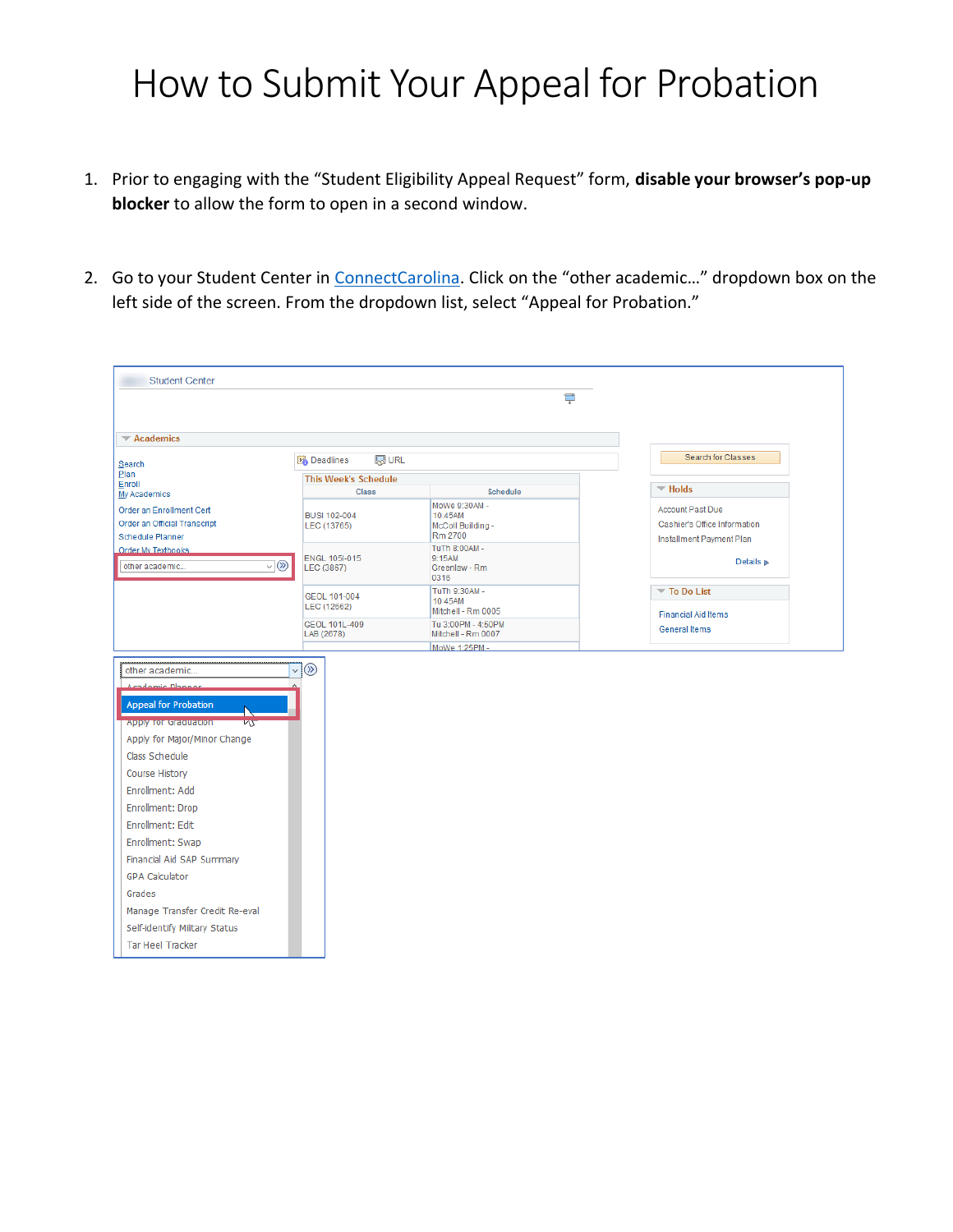- 1. Prior to engaging with the "Student Eligibility Appeal Request" form, **disable your browser's pop-up blocker** to allow the form to open in a second window.
- 2. Go to your Student Center in [ConnectCarolina](https://connectcarolina.unc.edu/). Click on the "other academic..." dropdown box on the left side of the screen. From the dropdown list, select "Appeal for Probation."

| <b>Student Center</b>                         |                                    |                               |                                                    |
|-----------------------------------------------|------------------------------------|-------------------------------|----------------------------------------------------|
|                                               |                                    | ٣                             |                                                    |
|                                               |                                    |                               |                                                    |
| $\blacktriangledown$ Academics                |                                    |                               |                                                    |
| Search                                        | <b>同URL</b><br>Deadlines           |                               | Search for Classes                                 |
| Plan                                          | <b>This Week's Schedule</b>        |                               |                                                    |
| Enroll<br>My Academics                        | Class                              | Schedule                      | $\blacktriangledown$ Holds                         |
| Order an Enrollment Cert                      |                                    | MoWe 9:30AM -                 | <b>Account Past Due</b>                            |
| Order an Official Transcript                  | <b>BUSI 102-004</b><br>LEC (13765) | 10:45AM<br>McColl Building -  | Cashier's Office Information                       |
| Schedule Planner                              |                                    | Rm 2700                       | Installment Payment Plan                           |
| <b>Order My Textbooks</b>                     | <b>ENGL 105I-015</b>               | TuTh 8:00AM -<br>9:15AM       |                                                    |
| $\sqrt{8}$<br>other academic                  | LEC (3867)                         | Greenlaw - Rm<br>0316         | Details p                                          |
|                                               | GEOL 101-004                       | TuTh 9:30AM -                 | $\overline{\phantom{a}}$ To Do List                |
|                                               | LEC (12662)                        | 10:45AM<br>Mitchell - Rm 0005 |                                                    |
|                                               | GEOL 101L-409                      | Tu 3:00PM - 4:50PM            | <b>Financial Aid Items</b><br><b>General Items</b> |
|                                               | LAB (2678)                         | Mitchell - Rm 0007            |                                                    |
|                                               |                                    | MoWe 1:25PM -                 |                                                    |
| other academic                                | $\circledR$<br>$\checkmark$        |                               |                                                    |
| Academic Dhane                                |                                    |                               |                                                    |
|                                               |                                    |                               |                                                    |
| <b>Appeal for Probation</b>                   |                                    |                               |                                                    |
| <b>Apply for Graduation</b><br>$\overline{M}$ |                                    |                               |                                                    |
| Apply for Major/Minor Change                  |                                    |                               |                                                    |
| Class Schedule                                |                                    |                               |                                                    |
| Course History                                |                                    |                               |                                                    |
| Enrollment: Add                               |                                    |                               |                                                    |
| Enrollment: Drop                              |                                    |                               |                                                    |
| <b>Enrollment: Edit</b>                       |                                    |                               |                                                    |
| Enrollment: Swap                              |                                    |                               |                                                    |
| Financial Aid SAP Summary                     |                                    |                               |                                                    |
|                                               |                                    |                               |                                                    |
| <b>GPA Calculator</b>                         |                                    |                               |                                                    |
| Grades                                        |                                    |                               |                                                    |
| Manage Transfer Credit Re-eval                |                                    |                               |                                                    |
|                                               |                                    |                               |                                                    |
| Self-identify Military Status                 |                                    |                               |                                                    |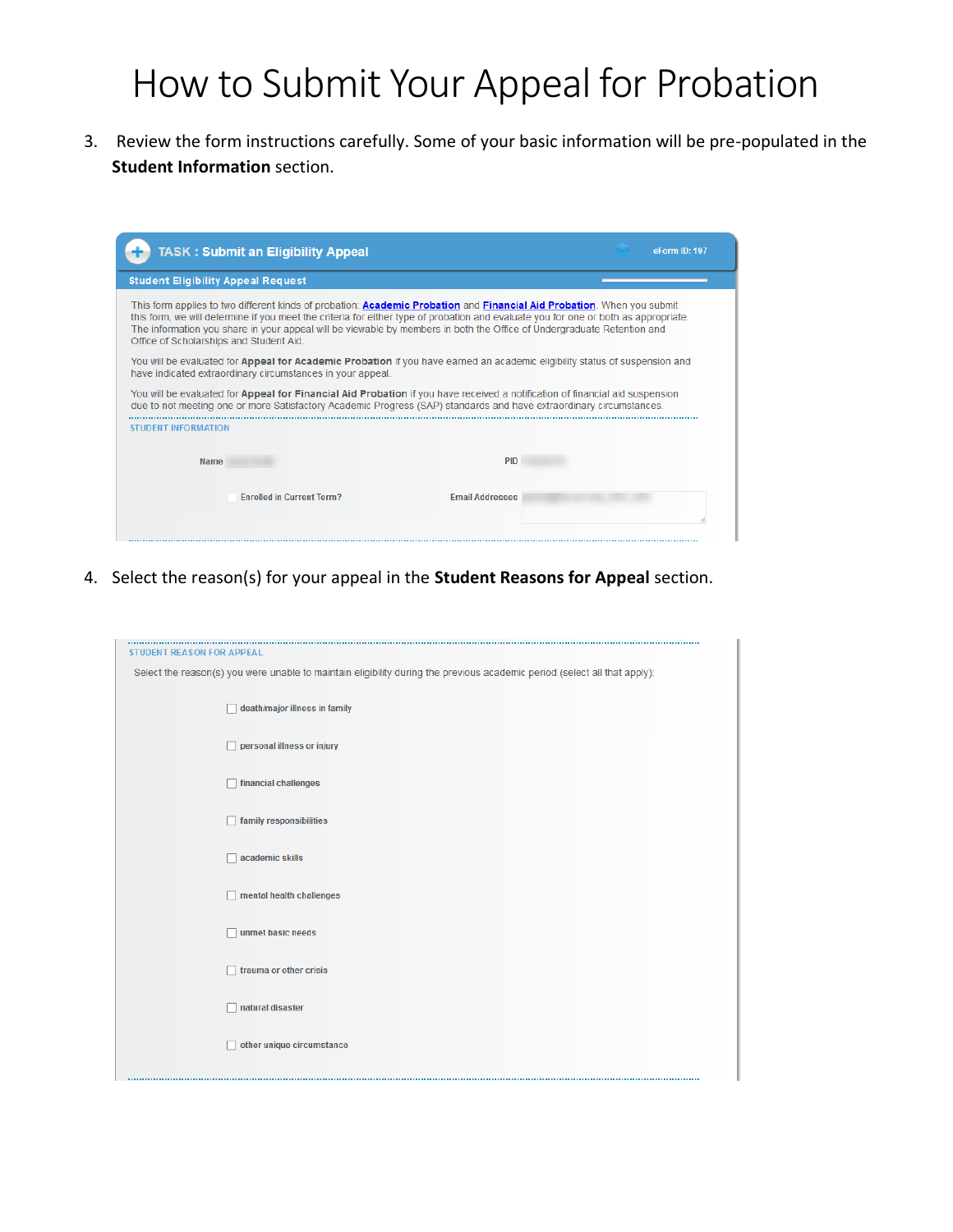3. Review the form instructions carefully. Some of your basic information will be pre-populated in the **Student Information** section.

| <b>TASK: Submit an Eligibility Appeal</b>                                                                                                                                                                                                                                                                                                                                                                                          | eForm ID: 197          |
|------------------------------------------------------------------------------------------------------------------------------------------------------------------------------------------------------------------------------------------------------------------------------------------------------------------------------------------------------------------------------------------------------------------------------------|------------------------|
| <b>Student Eligibility Appeal Request</b>                                                                                                                                                                                                                                                                                                                                                                                          |                        |
| This form applies to two different kinds of probation: Academic Probation and Financial Aid Probation. When you submit<br>this form, we will determine if you meet the criteria for either type of probation and evaluate you for one or both as appropriate.<br>The information you share in your appeal will be viewable by members in both the Office of Undergraduate Retention and<br>Office of Scholarships and Student Aid. |                        |
| You will be evaluated for Appeal for Academic Probation if you have earned an academic eligibility status of suspension and<br>have indicated extraordinary circumstances in your appeal.                                                                                                                                                                                                                                          |                        |
| You will be evaluated for Appeal for Financial Aid Probation if you have received a notification of financial aid suspension<br>due to not meeting one or more Satisfactory Academic Progress (SAP) standards and have extraordinary circumstances.                                                                                                                                                                                |                        |
| <b>STUDENT INFORMATION</b>                                                                                                                                                                                                                                                                                                                                                                                                         |                        |
| <b>Name</b>                                                                                                                                                                                                                                                                                                                                                                                                                        | <b>PID</b>             |
| <b>Enrolled in Current Term?</b>                                                                                                                                                                                                                                                                                                                                                                                                   | <b>Email Addresses</b> |
|                                                                                                                                                                                                                                                                                                                                                                                                                                    |                        |

4. Select the reason(s) for your appeal in the **Student Reasons for Appeal** section.

| <b>STUDENT REASON FOR APPEAL</b>                                                                                          |
|---------------------------------------------------------------------------------------------------------------------------|
|                                                                                                                           |
| Select the reason(s) you were unable to maintain eligibility during the previous academic period (select all that apply): |
|                                                                                                                           |
| death/major illness in family                                                                                             |
|                                                                                                                           |
| personal illness or injury                                                                                                |
|                                                                                                                           |
| financial challenges                                                                                                      |
|                                                                                                                           |
| family responsibilities                                                                                                   |
|                                                                                                                           |
| academic skills                                                                                                           |
|                                                                                                                           |
| mental health challenges                                                                                                  |
|                                                                                                                           |
| unmet basic needs                                                                                                         |
|                                                                                                                           |
| trauma or other crisis                                                                                                    |
|                                                                                                                           |
| natural disaster                                                                                                          |
|                                                                                                                           |
| other unique circumstance                                                                                                 |
|                                                                                                                           |
|                                                                                                                           |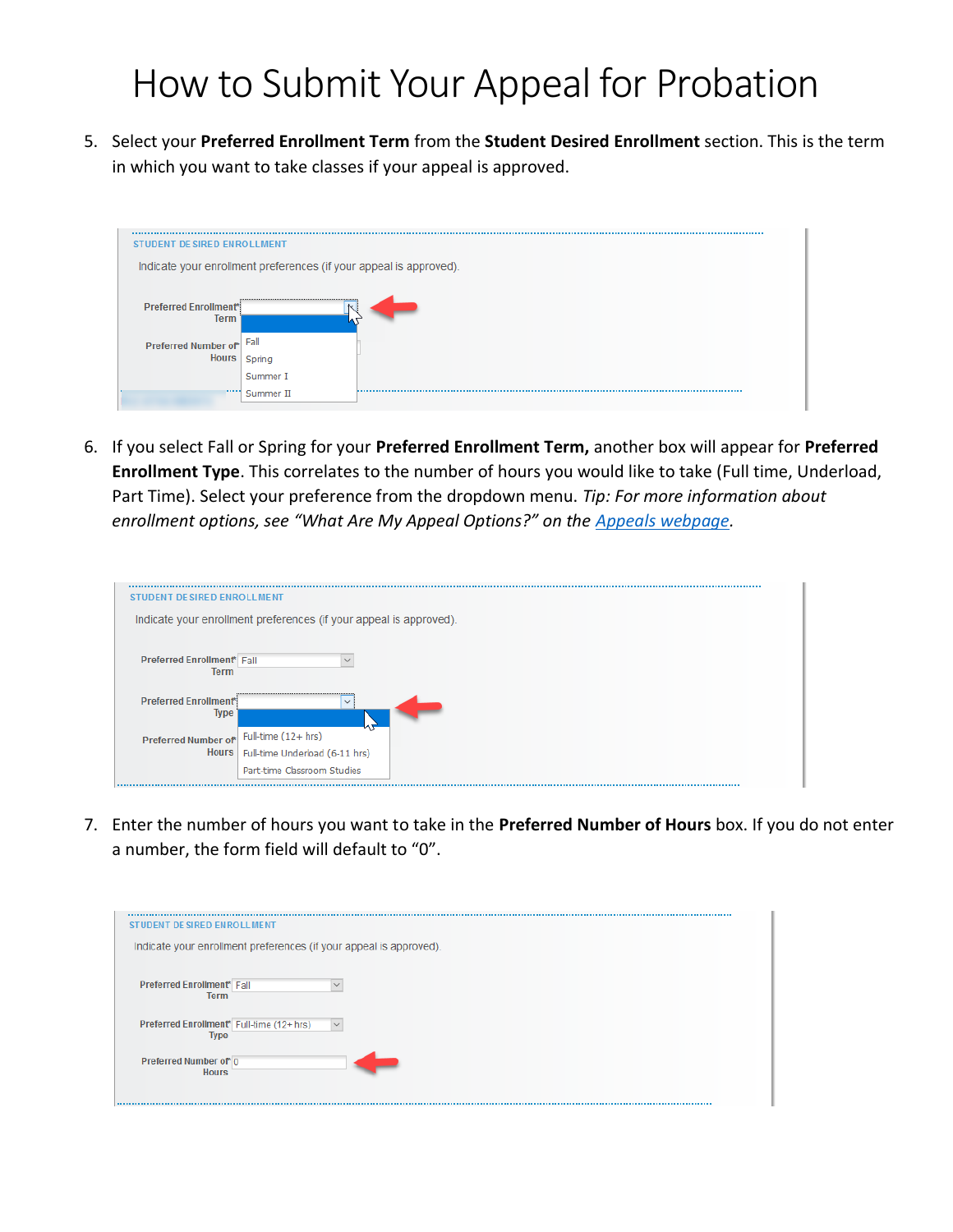5. Select your **Preferred Enrollment Term** from the **Student Desired Enrollment** section. This is the term in which you want to take classes if your appeal is approved.

| <br><b>STUDENT DE SIRED ENROLLMENT</b>      |                                                                    |   |
|---------------------------------------------|--------------------------------------------------------------------|---|
|                                             | Indicate your enrollment preferences (if your appeal is approved). |   |
| <b>Preferred Enrollment*</b><br><b>Term</b> |                                                                    |   |
| Preferred Number of*<br><b>Hours</b>        | Fall<br>Spring                                                     |   |
|                                             | Summer I                                                           |   |
|                                             | Summer II                                                          | . |

6. If you select Fall or Spring for your **Preferred Enrollment Term,** another box will appear for **Preferred Enrollment Type**. This correlates to the number of hours you would like to take (Full time, Underload, Part Time). Select your preference from the dropdown menu. *Tip: For more information about enrollment options, see "What Are My Appeal Options?" on the [Appeals webpage.](https://studentsuccess.unc.edu/appeals/)*

| <b>STUDENT DE SIRED ENROLLMENT</b>          |                                                                    |
|---------------------------------------------|--------------------------------------------------------------------|
|                                             | Indicate your enrollment preferences (if your appeal is approved). |
| Preferred Enrollment* Fall<br>Term          | $\checkmark$                                                       |
| <b>Preferred Enrollment®</b><br><b>Type</b> |                                                                    |
| Preferred Number of Full-time (12+ hrs)     | Hours   Full-time Underload (6-11 hrs)                             |
|                                             | Part-time Classroom Studies                                        |

7. Enter the number of hours you want to take in the **Preferred Number of Hours** box. If you do not enter a number, the form field will default to "0".

| <b>STUDENT DE SIRED ENROLLMENT</b>                                   |                                                                    |
|----------------------------------------------------------------------|--------------------------------------------------------------------|
|                                                                      | Indicate your enrollment preferences (if your appeal is approved). |
|                                                                      |                                                                    |
| <b>Preferred Enrollment* Fall</b><br><b>Term</b>                     |                                                                    |
|                                                                      |                                                                    |
| Preferred Enrollment <sup>*</sup> Full-time (12+ hrs)<br><b>Type</b> | $\vee$                                                             |
| Preferred Number of* 0                                               |                                                                    |
| <b>Hours</b>                                                         |                                                                    |
|                                                                      |                                                                    |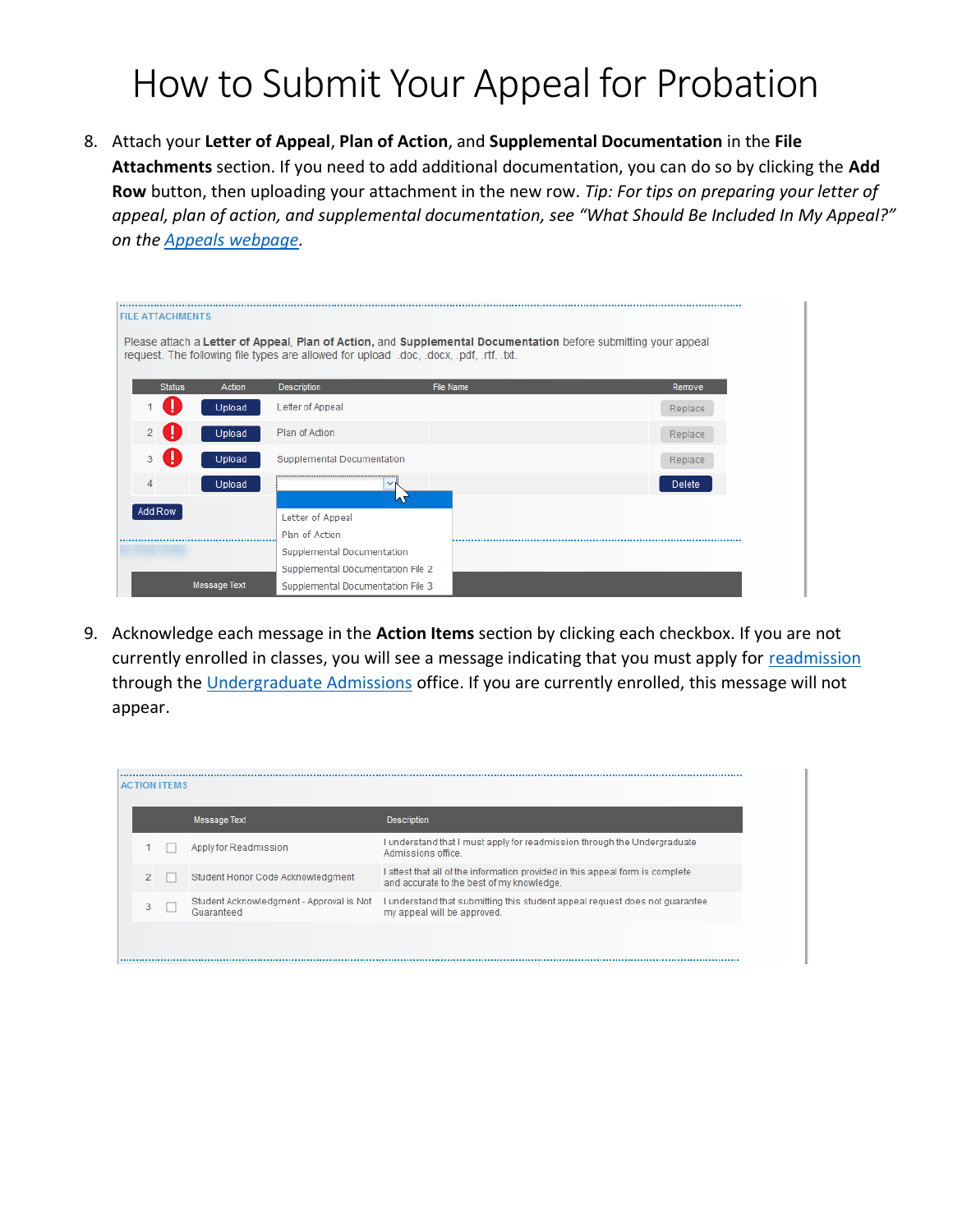8. Attach your **Letter of Appeal**, **Plan of Action**, and **Supplemental Documentation** in the **File Attachments** section. If you need to add additional documentation, you can do so by clicking the **Add Row** button, then uploading your attachment in the new row. *Tip: For tips on preparing your letter of appeal, plan of action, and supplemental documentation, see "What Should Be Included In My Appeal?" on th[e Appeals webpage.](https://studentsuccess.unc.edu/appeals/)*

| <b>FILE ATTACHMENTS</b> |               |                     |                                                                                         | Please attach a Letter of Appeal, Plan of Action, and Supplemental Documentation before submitting your appeal |         |
|-------------------------|---------------|---------------------|-----------------------------------------------------------------------------------------|----------------------------------------------------------------------------------------------------------------|---------|
|                         |               |                     | request. The following file types are allowed for upload .doc, .docx, .pdf, .rtf, .txt. |                                                                                                                |         |
|                         | <b>Status</b> | Action              | <b>Description</b>                                                                      | <b>File Name</b>                                                                                               | Remove  |
|                         |               | Upload              | Letter of Appeal                                                                        |                                                                                                                | Replace |
| $\overline{2}$          |               | Upload              | Plan of Action                                                                          |                                                                                                                | Replace |
| 3                       |               | Upload              | Supplemental Documentation                                                              |                                                                                                                | Replace |
| 4                       |               | Upload              | v<br>l۸۲                                                                                |                                                                                                                | Delete  |
| Add Row                 |               |                     | Letter of Appeal                                                                        |                                                                                                                |         |
|                         |               |                     | Plan of Action                                                                          |                                                                                                                |         |
|                         |               | .                   |                                                                                         |                                                                                                                |         |
|                         |               |                     | Supplemental Documentation                                                              |                                                                                                                |         |
|                         |               |                     | Supplemental Documentation File 2                                                       |                                                                                                                |         |
|                         |               | <b>Message Text</b> | Supplemental Documentation File 3                                                       |                                                                                                                |         |

9. Acknowledge each message in the **Action Items** section by clicking each checkbox. If you are not currently enrolled in classes, you will see a message indicating that you must apply for [readmission](https://admissions.unc.edu/apply/readmission/) through the [Undergraduate Admissions](https://admissions.unc.edu/) office. If you are currently enrolled, this message will not appear.

| <b>Message Text</b><br><b>Description</b><br>I understand that I must apply for readmission through the Undergraduate<br>Apply for Readmission<br>Admissions office<br>I attest that all of the information provided in this appeal form is complete.<br>Student Honor Code Acknowledgment<br>$\overline{2}$<br>and accurate to the best of my knowledge.<br>l understand that submitting this student appeal request does not quarantee<br>Student Acknowledgment - Approval is Not | <b>ACTION ITEMS</b> |  |
|--------------------------------------------------------------------------------------------------------------------------------------------------------------------------------------------------------------------------------------------------------------------------------------------------------------------------------------------------------------------------------------------------------------------------------------------------------------------------------------|---------------------|--|
|                                                                                                                                                                                                                                                                                                                                                                                                                                                                                      |                     |  |
|                                                                                                                                                                                                                                                                                                                                                                                                                                                                                      |                     |  |
|                                                                                                                                                                                                                                                                                                                                                                                                                                                                                      |                     |  |
| Guaranteed<br>my appeal will be approved.                                                                                                                                                                                                                                                                                                                                                                                                                                            |                     |  |

.................